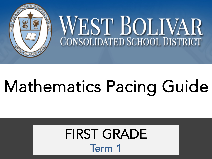

## Mathematics Pacing Guide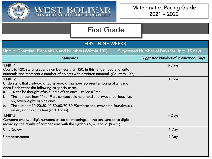

WEST BOLIVAR

| <b>FIRST NINE WEEKS</b>                                                                                                                                                                                                                                                                                                                                                                                                                                                                                               |  |                                               |
|-----------------------------------------------------------------------------------------------------------------------------------------------------------------------------------------------------------------------------------------------------------------------------------------------------------------------------------------------------------------------------------------------------------------------------------------------------------------------------------------------------------------------|--|-----------------------------------------------|
| <b>Suggested Number of Days for Unit: 15 days</b><br>Unit 1: Counting, Place Value and Numbers (Within 100)                                                                                                                                                                                                                                                                                                                                                                                                           |  |                                               |
| <b>Standards</b>                                                                                                                                                                                                                                                                                                                                                                                                                                                                                                      |  | <b>Suggested Number of Instructional Days</b> |
| 1.NBT.1<br>Count to 420, starting at any number less than 420. In this range, read and write<br>numerals and represent a number of objects with a written numeral. (Count to 100.)                                                                                                                                                                                                                                                                                                                                    |  | 6 Days                                        |
| <b>1.NBT.2</b><br>Understand that the two digits of a two-digit number represent amounts of tens and<br>ones. Understand the following as special cases:<br>10 can be thought of as bundle of ten ones - called a "ten."<br>a.<br>The numbers from 11 to 19 are composed of a ten and one, two, three, four, five,<br>b.<br>six, seven, eight, or nine ones.<br>The numbers 10, 20, 30, 40, 50, 60, 70, 80, 90 refer to one, two, three, four, five, six,<br>$ c_{\cdot} $<br>seven, eight, ornine tens (and 0 ones). |  | 3 Days                                        |
| <b>1.NBT.3</b><br>Compare two two-digit numbers based on meanings of the tens and ones digits,<br>recording the results of comparisons with the symbols $>$ , =, and <. (0 - 50)                                                                                                                                                                                                                                                                                                                                      |  | 4 Days                                        |
| <b>Unit Review</b>                                                                                                                                                                                                                                                                                                                                                                                                                                                                                                    |  | 1 Day                                         |
| <b>Unit Assessment</b>                                                                                                                                                                                                                                                                                                                                                                                                                                                                                                |  | 1 Day                                         |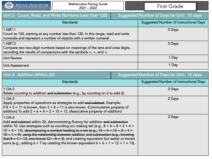

| Unit 2: Count, Read, and Write Numbers (Less than 120)                                                                                                                         | Suggested Number of Days for Unit: 10 days |                                               |
|--------------------------------------------------------------------------------------------------------------------------------------------------------------------------------|--------------------------------------------|-----------------------------------------------|
| <b>Standards</b>                                                                                                                                                               |                                            | <b>Suggested Number of Instructional Days</b> |
| 1.NBT.1<br>Count to 120, starting at any number less than 120. In this range, read and write<br>numerals and represent a number of objects with a written numeral.             |                                            | 5 Days                                        |
| $1.$ NBT $.3$<br>Compare two two-digit numbers based on meanings of the tens and ones digits,<br>recording the results of comparisons with the symbols $>$ , $=$ , and $\lt$ . |                                            | 3 Days                                        |
| <b>Unit Review</b>                                                                                                                                                             |                                            | 1 Day                                         |
| <b>Unit Assessment</b>                                                                                                                                                         |                                            | 1 Day                                         |

| Unit 3: Addition (Within 20)                                                                                                                                                                                                                                                                                                                                                                                                                                                                                                                               |  | <b>Suggested Number of Days for Unit: 15 days</b> |
|------------------------------------------------------------------------------------------------------------------------------------------------------------------------------------------------------------------------------------------------------------------------------------------------------------------------------------------------------------------------------------------------------------------------------------------------------------------------------------------------------------------------------------------------------------|--|---------------------------------------------------|
| <b>Standards</b>                                                                                                                                                                                                                                                                                                                                                                                                                                                                                                                                           |  | <b>Suggested Number of Instructional Days</b>     |
| 1.OA.5<br>Relate counting to addition and subtraction (e.g., by counting on 2 to add 2).                                                                                                                                                                                                                                                                                                                                                                                                                                                                   |  | 2 Days                                            |
| 1.OA.3<br>Apply properties of operations as strategies to add and subtract. Example:<br>If $8 + 3 = 11$ is known, then $3 + 8 = 11$ is also known. (Commutative property of<br>addition) To add $2 + 6 + 4 = 2 + 10 = 12$ . (Associative property of addition)                                                                                                                                                                                                                                                                                             |  | 2 Days                                            |
| 1.OA.6<br>Add and subtract within 20, demonstrating fluency for addition and subtraction<br>within 10. Use strategies such as counting on; making ten (e.g., $8 + 6 = 8 + 2 + 4 =$<br>10 + 4 = 14); decomposing a number leading to a ten (e.g., $13 - 4 = 13 - 3 - 1 =$<br>$10 - 1 = 9$ ; using the relationship between addition and subtraction (e.g., knowing<br>that $8 + 4 = 12$ , one knows $12 - 8 = 4$ ); and creating equivalent but easier or known<br>sums (e.g., adding $6 + 7$ by creating the known equivalent $6 + 6 + 1 = 12 + 1 = 13$ ). |  | 3 Days                                            |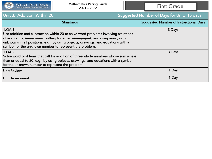

| Unit 3: Addition (Within 20)                                                                                                                                                                                                                                                                                                   | Suggested Number of Days for Unit: 15 days |                                               |
|--------------------------------------------------------------------------------------------------------------------------------------------------------------------------------------------------------------------------------------------------------------------------------------------------------------------------------|--------------------------------------------|-----------------------------------------------|
| <b>Standards</b>                                                                                                                                                                                                                                                                                                               |                                            | <b>Suggested Number of Instructional Days</b> |
| 1.OA.1<br>Use addition and subtraction within 20 to solve word problems involving situations<br>of adding to, taking from, putting together, taking apart, and comparing, with<br>unknowns in all positions, e.g., by using objects, drawings, and equations with a<br>symbol for the unknown number to represent the problem. |                                            | 3 Days                                        |
| 1.OA.2<br>Solve word problems that call for addition of three whole numbers whose sum is less<br>than or equal to 20, e.g., by using objects, drawings, and equations with a symbol<br>for the unknown number to represent the problem.                                                                                        |                                            | 3 Days                                        |
| <b>Unit Review</b>                                                                                                                                                                                                                                                                                                             |                                            | 1 Day                                         |
| <b>Unit Assessment</b>                                                                                                                                                                                                                                                                                                         |                                            | 1 Day                                         |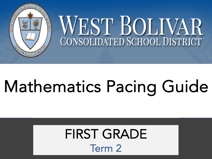

## Mathematics Pacing Guide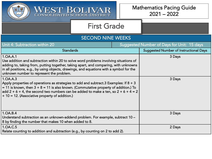

| <b>SECOND NINE WEEKS</b>                                                                                                                                                                                                                                                                                                                         |  |                                               |  |
|--------------------------------------------------------------------------------------------------------------------------------------------------------------------------------------------------------------------------------------------------------------------------------------------------------------------------------------------------|--|-----------------------------------------------|--|
| Unit 4: Subtraction within 20                                                                                                                                                                                                                                                                                                                    |  | Suggested Number of Days for Unit: 15 days    |  |
| <b>Standards</b>                                                                                                                                                                                                                                                                                                                                 |  | <b>Suggested Number of Instructional Days</b> |  |
| 1.OA.A.1<br>Use addition and subtraction within 20 to solve word problems involving situations of<br>adding to, taking from, putting together, taking apart, and comparing, with unknowns<br>in all positions, e.g., by using objects, drawings, and equations with a symbol for the<br>unknown number to represent the problem.                 |  | 3 Days                                        |  |
| 1. OA. A. 3<br>Apply properties of operations as strategies to add and subtract. 3 Examples: If $8 + 3$<br>$= 11$ is known, then $3 + 8 = 11$ is also known. (Commutative property of addition.) To<br>add $2 + 6 + 4$ , the second two numbers can be added to make a ten, so $2 + 6 + 4 = 2$<br>+ 10 = 12. (Associative property of addition.) |  | 3 Days                                        |  |
| 1.OA.B.4<br>Understand subtraction as an unknown-addend problem. For example, subtract 10 -<br>8 by finding the number that makes 10 when added to 8.                                                                                                                                                                                            |  | 3 Days                                        |  |
| 1.0A.C.5<br>Relate counting to addition and subtraction (e.g., by counting on 2 to add 2).                                                                                                                                                                                                                                                       |  | 2 Days                                        |  |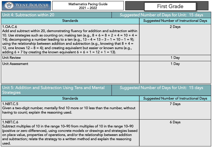| WEST BOLIVAR                                                                                                                                                                                                                                                                                                                                                                                                                                                                                                                                                | <b>Mathematics Pacing Guide</b><br>$2021 - 2022$                                    |        | <b>First Grade</b>                            |
|-------------------------------------------------------------------------------------------------------------------------------------------------------------------------------------------------------------------------------------------------------------------------------------------------------------------------------------------------------------------------------------------------------------------------------------------------------------------------------------------------------------------------------------------------------------|-------------------------------------------------------------------------------------|--------|-----------------------------------------------|
| Unit 4: Subtraction within 20                                                                                                                                                                                                                                                                                                                                                                                                                                                                                                                               |                                                                                     |        | Suggested Number of Days for Unit: 15 days    |
|                                                                                                                                                                                                                                                                                                                                                                                                                                                                                                                                                             | <b>Standards</b>                                                                    |        | <b>Suggested Number of Instructional Days</b> |
| 1.OA.C.6<br>Add and subtract within 20, demonstrating fluency for addition and subtraction within<br>10. Use strategies such as counting on; making ten (e.g., $8 + 6 = 8 + 2 + 4 = 10 + 4 = 1$<br>14); decomposing a number leading to a ten (e.g., $13 - 4 = 13 - 3 - 1 = 10 - 1 = 9$ );<br>using the relationship between addition and subtraction (e.g., knowing that $8 + 4 =$<br>12, one knows $12 - 8 = 4$ ); and creating equivalent but easier or known sums (e.g.,<br>adding $6 + 7$ by creating the known equivalent $6 + 6 + 1 = 12 + 1 = 13$ . |                                                                                     | 2 Days |                                               |
| <b>Unit Review</b>                                                                                                                                                                                                                                                                                                                                                                                                                                                                                                                                          |                                                                                     |        | 1 Day                                         |
| <b>Unit Assessment</b>                                                                                                                                                                                                                                                                                                                                                                                                                                                                                                                                      |                                                                                     |        | 1 Day                                         |
| Unit 5: Addition and Subtraction Using Tens and Mental<br><b>Strategies</b>                                                                                                                                                                                                                                                                                                                                                                                                                                                                                 |                                                                                     |        | Suggested Number of Days for Unit: 15 days    |
|                                                                                                                                                                                                                                                                                                                                                                                                                                                                                                                                                             | <b>Standards</b>                                                                    |        | <b>Suggested Number of Instructional Days</b> |
| 1.NBT.C.5<br>having to count; explain the reasoning used.                                                                                                                                                                                                                                                                                                                                                                                                                                                                                                   | Given a two-digit number, mentally find 10 more or 10 less than the number, without |        | 7 Days                                        |
| 1.NBT.C.6<br>Subtract multiples of 10 in the range 10–90 from multiples of 10 in the range 10–90<br>(positive or zero differences), using concrete models or drawings and strategies based<br>on place value, properties of operations, and/or the relationship between addition<br>and subtraction; relate the strategy to a written method and explain the reasoning<br>used.                                                                                                                                                                             |                                                                                     | 6 Days |                                               |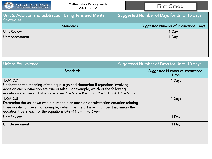| WEST BOLIVAR<br>$rac{2}{\sqrt{2}}$ | <b>Mathematics Pacing Guide</b><br>$2021 - 2022$       | <b>First Grade</b>                            |
|------------------------------------|--------------------------------------------------------|-----------------------------------------------|
| <b>Strategies</b>                  | Unit 5: Addition and Subtraction Using Tens and Mental | Suggested Number of Days for Unit: 15 days    |
|                                    | <b>Standards</b>                                       | <b>Suggested Number of Instructional Days</b> |
| Unit Review                        |                                                        | 1 Day                                         |
| Unit Assessment                    |                                                        | 1 Day                                         |
|                                    |                                                        |                                               |
|                                    |                                                        |                                               |

| Unit 6: Equivalence                                                                                                                                                                                                                                                                 | Suggested Number of Days for Unit: 10 days |                                                  |
|-------------------------------------------------------------------------------------------------------------------------------------------------------------------------------------------------------------------------------------------------------------------------------------|--------------------------------------------|--------------------------------------------------|
| <b>Standards</b>                                                                                                                                                                                                                                                                    |                                            | Suggested Number of Instructional<br><b>Days</b> |
| 1.OA.D.7<br>Understand the meaning of the equal sign and determine if equations involving<br>addition and subtraction are true or false. For example, which of the following<br>equations are true and which are false? $6 = 6$ , $7 = 8 - 1$ , $5 + 2 = 2 + 5$ , $4 + 1 = 5 + 2$ . |                                            | 4 Days                                           |
| 1.OA.D.8<br>Determine the unknown whole number in an addition or subtraction equation relating<br>three whole numbers. For example, determine the unknown number that makes the<br>equation true in each of the equations $8+?=11,5=$ -3,6+6=                                       |                                            | 4 Days                                           |
| <b>Unit Review</b>                                                                                                                                                                                                                                                                  |                                            | 1 Day                                            |
| <b>Unit Assessment</b>                                                                                                                                                                                                                                                              |                                            | 1 Day                                            |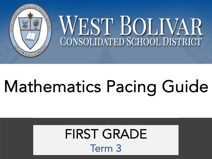

## Mathematics Pacing Guide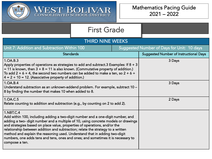

WEST BOLIVAR

| <b>THIRD NINE WEEKS</b>                                                                                                                                                                                                                                                                                                                                                                                                                                                                                                               |  |                                               |  |
|---------------------------------------------------------------------------------------------------------------------------------------------------------------------------------------------------------------------------------------------------------------------------------------------------------------------------------------------------------------------------------------------------------------------------------------------------------------------------------------------------------------------------------------|--|-----------------------------------------------|--|
| Unit 7: Addition and Subtraction Within 100                                                                                                                                                                                                                                                                                                                                                                                                                                                                                           |  | Suggested Number of Days for Unit: 10 days    |  |
| <b>Standards</b>                                                                                                                                                                                                                                                                                                                                                                                                                                                                                                                      |  | <b>Suggested Number of Instructional Days</b> |  |
| 1.0A.B.3<br>Apply properties of operations as strategies to add and subtract.3 Examples: If 8 $+$ 3<br>$= 11$ is known, then $3 + 8 = 11$ is also known. (Commutative property of addition.)<br>To add $2 + 6 + 4$ , the second two numbers can be added to make a ten, so $2 + 6 +$<br>$4 = 2 + 10 = 12$ . (Associative property of addition.)                                                                                                                                                                                       |  | 3 Days                                        |  |
| 1.0A.B.4<br>Understand subtraction as an unknown-addend problem. For example, subtract 10 -<br>8 by finding the number that makes 10 when added to 8.                                                                                                                                                                                                                                                                                                                                                                                 |  | 3 Days                                        |  |
| 1.OA.C.5<br>Relate counting to addition and subtraction (e.g., by counting on 2 to add 2).                                                                                                                                                                                                                                                                                                                                                                                                                                            |  | 2 Days                                        |  |
| 1.NBT.C.4<br>Add within 100, including adding a two-digit number and a one-digit number, and<br>adding a two-digit number and a multiple of 10, using concrete models or drawings<br>and strategies based on place value, properties of operations, and/or the<br>relationship between addition and subtraction; relate the strategy to a written<br>method and explain the reasoning used. Understand that in adding two-digit<br>numbers, one adds tens and tens, ones and ones; and sometimes it is necessary to<br>compose a ten. |  |                                               |  |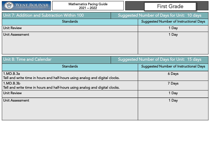

| Suggested Number of Days for Unit: 10 days |                                               |
|--------------------------------------------|-----------------------------------------------|
|                                            | <b>Suggested Number of Instructional Days</b> |
|                                            | 1 Day                                         |
|                                            | 1 Day                                         |
|                                            |                                               |
|                                            |                                               |
|                                            |                                               |

| Unit 8: Time and Calendar                                                                 | Suggested Number of Days for Unit: 15 days |                                               |
|-------------------------------------------------------------------------------------------|--------------------------------------------|-----------------------------------------------|
| <b>Standards</b>                                                                          |                                            | <b>Suggested Number of Instructional Days</b> |
| 1.MD.B.3a<br>Tell and write time in hours and half-hours using analog and digital clocks. |                                            | 6 Days                                        |
| 1.MD.B.3b<br>Tell and write time in hours and half-hours using analog and digital clocks. |                                            | 7 Days                                        |
| <b>Unit Review</b>                                                                        |                                            | 1 Day                                         |
| Unit Assessment                                                                           |                                            | 1 Day                                         |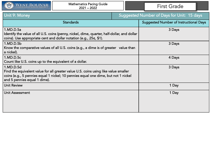

| Unit 9: Money                                                                                                                                                                                                          | <b>Suggested Number of Days for Unit: 15 days</b> |
|------------------------------------------------------------------------------------------------------------------------------------------------------------------------------------------------------------------------|---------------------------------------------------|
| <b>Standards</b>                                                                                                                                                                                                       | <b>Suggested Number of Instructional Days</b>     |
| 1.MD.D.5a<br>Identify the value of all U.S. coins (penny, nickel, dime, quarter, half-dollar, and dollar<br>coins). Use appropriate cent and dollar notation (e.g., 25¢, \$1).                                         | 3 Days                                            |
| 1.MD.D.5b<br>Know the comparative values of all U.S. coins (e.g., a dime is of greater value than<br>a nickel).                                                                                                        | 3 Days                                            |
| 1.MD.D.5c<br>Count like U.S. coins up to the equivalent of a dollar.                                                                                                                                                   | 4 Days                                            |
| 1.MD.D.5d<br>Find the equivalent value for all greater value U.S. coins using like value smaller<br>coins (e.g., 5 pennies equal 1 nickel; 10 pennies equal one dime, but not 1 nickel<br>and 5 pennies equal 1 dime). | 3 Days                                            |
| <b>Unit Review</b>                                                                                                                                                                                                     | 1 Day                                             |
| Unit Assessment                                                                                                                                                                                                        | 1 Day                                             |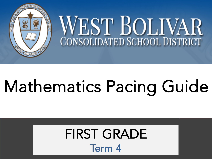

## Mathematics Pacing Guide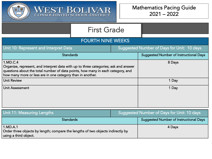

WEST BOLIVAR

#### FOURTH NINE WEEKS

| Unit 10: Represent and Interpret Data                                                                                                                                                                                                            | Suggested Number of Days for Unit: 10 days |                                               |
|--------------------------------------------------------------------------------------------------------------------------------------------------------------------------------------------------------------------------------------------------|--------------------------------------------|-----------------------------------------------|
| <b>Standards</b>                                                                                                                                                                                                                                 |                                            | <b>Suggested Number of Instructional Days</b> |
| 1.MD.C.4<br>Organize, represent, and interpret data with up to three categories; ask and answer<br>questions about the total number of data points, how many in each category, and<br>how many more or less are in one category than in another. |                                            | 8 Days                                        |
| <b>Unit Review</b>                                                                                                                                                                                                                               |                                            | 1 Day                                         |
| <b>Unit Assessment</b>                                                                                                                                                                                                                           |                                            | 1 Day                                         |

| Unit 11: Measuring Lengths                                                                                           | Suggested Number of Days for Unit: 10 days |                                        |
|----------------------------------------------------------------------------------------------------------------------|--------------------------------------------|----------------------------------------|
| <b>Standards</b>                                                                                                     |                                            | Suggested Number of Instructional Days |
| 1.MD.A.1<br>Order three objects by length; compare the lengths of two objects indirectly by<br>using a third object. |                                            | 4 Days                                 |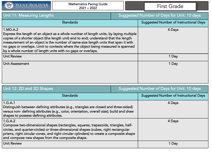| WEST BOLIVAR                                                                                                                                                                                                                                                                                                                                                                                                                       | <b>Mathematics Pacing Guide</b><br>$2021 - 2022$ |                                            | <b>First Grade</b>                            |
|------------------------------------------------------------------------------------------------------------------------------------------------------------------------------------------------------------------------------------------------------------------------------------------------------------------------------------------------------------------------------------------------------------------------------------|--------------------------------------------------|--------------------------------------------|-----------------------------------------------|
| Unit 11: Measuring Lengths                                                                                                                                                                                                                                                                                                                                                                                                         |                                                  | Suggested Number of Days for Unit: 10 days |                                               |
|                                                                                                                                                                                                                                                                                                                                                                                                                                    | <b>Standards</b>                                 |                                            | <b>Suggested Number of Instructional Days</b> |
| 1.MD.A.2<br>Express the length of an object as a whole number of length units, by laying multiple<br>copies of a shorter object (the length unit) end to end; understand that the length<br>measurement of an object is the number of same-size length units that span it with<br>no gaps or overlaps. Limit to contexts where the object being measured is spanned<br>by a whole number of length units with no gaps or overlaps. |                                                  |                                            | 4 Days                                        |
| <b>Unit Review</b>                                                                                                                                                                                                                                                                                                                                                                                                                 |                                                  |                                            | 1 Day                                         |
| Unit Assessment                                                                                                                                                                                                                                                                                                                                                                                                                    |                                                  |                                            | 1 Day                                         |

| Unit 12: 2D and 3D Shapes                                                                                                                                                                                                                                                                                                          | Suggested Number of Days for Unit: 10 days |                                               |
|------------------------------------------------------------------------------------------------------------------------------------------------------------------------------------------------------------------------------------------------------------------------------------------------------------------------------------|--------------------------------------------|-----------------------------------------------|
| <b>Standards</b>                                                                                                                                                                                                                                                                                                                   |                                            | <b>Suggested Number of Instructional Days</b> |
| 1.G.A.1<br>Distinguish between defining attributes (e.g., triangles are closed and three-sided)<br>versus non- defining attributes (e.g., color, orientation, overall size); build and draw<br>shapes to possess defining attributes.                                                                                              |                                            | 4 Days                                        |
| 1.G.A.2<br>Compose two-dimensional shapes (rectangles, squares, trapezoids, triangles, half-<br>circles, and quarter-circles) or three-dimensional shapes (cubes, right rectangular<br>prisms, right circular cones, and right circular cylinders) to create a composite shape<br>and compose new shapes from the composite shape. |                                            | 4 Days                                        |
| <b>Unit Review</b>                                                                                                                                                                                                                                                                                                                 |                                            | 1 Day                                         |